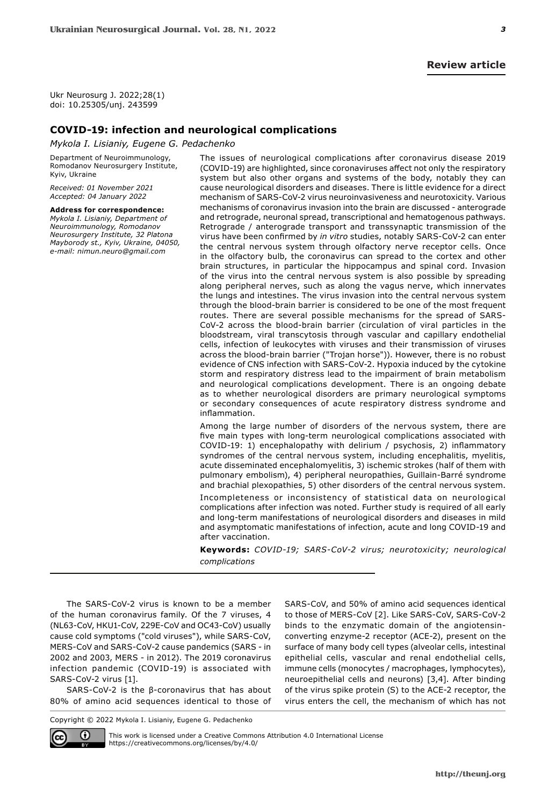Ukr Neurosurg J. 2022;28(1) doi: 10.25305/unj. 243599

## **COVID-19: infection and neurological complications**

*Mykola I. Lisianiy, Eugene G. Pedachenko*

Department of Neuroimmunology, Romodanov Neurosurgery Institute, Kyiv, Ukraine

*Received: 01 November 2021 Accepted: 04 January 2022*

**Address for correspondence:** *Mykola I. Lisianiy, Department of Neuroimmunology, Romodanov Neurosurgery Institute, 32 Platona Mayborody st., Kyiv, Ukraine, 04050, e-mail: nimun.neuro@gmail.com*

The issues of neurological complications after coronavirus disease 2019 (COVID-19) are highlighted, since coronaviruses affect not only the respiratory system but also other organs and systems of the body, notably they can cause neurological disorders and diseases. There is little evidence for a direct mechanism of SARS-CoV-2 virus neuroinvasiveness and neurotoxicity. Various mechanisms of coronavirus invasion into the brain are discussed - anterograde and retrograde, neuronal spread, transcriptional and hematogenous pathways. Retrograde / anterograde transport and transsynaptic transmission of the virus have been confirmed by *in vitro* studies, notably SARS-CoV-2 can enter the central nervous system through olfactory nerve receptor cells. Once in the olfactory bulb, the coronavirus can spread to the cortex and other brain structures, in particular the hippocampus and spinal cord. Invasion of the virus into the central nervous system is also possible by spreading along peripheral nerves, such as along the vagus nerve, which innervates the lungs and intestines. The virus invasion into the central nervous system through the blood-brain barrier is considered to be one of the most frequent routes. There are several possible mechanisms for the spread of SARS-CoV-2 across the blood-brain barrier (circulation of viral particles in the bloodstream, viral transcytosis through vascular and capillary endothelial cells, infection of leukocytes with viruses and their transmission of viruses across the blood-brain barrier ("Trojan horse")). However, there is no robust evidence of CNS infection with SARS-CoV-2. Hypoxia induced by the cytokine storm and respiratory distress lead to the impairment of brain metabolism and neurological complications development. There is an ongoing debate as to whether neurological disorders are primary neurological symptoms or secondary consequences of acute respiratory distress syndrome and inflammation.

Among the large number of disorders of the nervous system, there are five main types with long-term neurological complications associated with COVID-19: 1) encephalopathy with delirium / psychosis, 2) inflammatory syndromes of the central nervous system, including encephalitis, myelitis, acute disseminated encephalomyelitis, 3) ischemic strokes (half of them with pulmonary embolism), 4) peripheral neuropathies, Guillain-Barré syndrome and brachial plexopathies, 5) other disorders of the central nervous system.

Incompleteness or inconsistency of statistical data on neurological complications after infection was noted. Further study is required of all early and long-term manifestations of neurological disorders and diseases in mild and asymptomatic manifestations of infection, acute and long COVID-19 and after vaccination.

**Keywords:** *COVID-19; SARS-CoV-2 virus; neurotoxicity; neurological complications*

The SARS-CoV-2 virus is known to be a member of the human coronavirus family. Of the 7 viruses, 4 (NL63-CoV, HKU1-CoV, 229E-CoV and OC43-CoV) usually cause cold symptoms ("cold viruses"), while SARS-CoV, MERS-CoV and SARS-CoV-2 cause pandemics (SARS - in 2002 and 2003, MERS - in 2012). The 2019 coronavirus infection pandemic (COVID-19) is associated with SARS-CoV-2 virus [1].

SARS-CoV-2 is the β-coronavirus that has about 80% of amino acid sequences identical to those of SARS-CoV, and 50% of amino acid sequences identical to those of MERS-CoV [2]. Like SARS-CoV, SARS-CoV-2 binds to the enzymatic domain of the angiotensinconverting enzyme-2 receptor (ACE-2), present on the surface of many body cell types (alveolar cells, intestinal epithelial cells, vascular and renal endothelial cells, immune cells (monocytes / macrophages, lymphocytes), neuroepithelial cells and neurons) [3,4]. After binding of the virus spike protein (S) to the ACE-2 receptor, the virus enters the cell, the mechanism of which has not

Copyright © 2022 Mykola I. Lisianiy, Eugene G. Pedachenko



This work is licensed under a Creative Commons Attribution 4.0 International License https://creativecommons.org/licenses/by/4.0/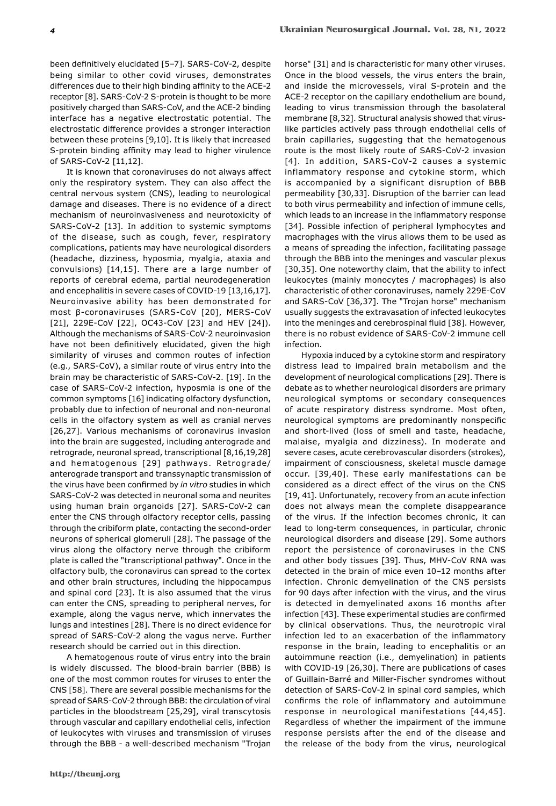been definitively elucidated [5-7]. SARS-CoV-2, despite being similar to other covid viruses, demonstrates differences due to their high binding affinity to the ACE-2 receptor [8]. SARS-CoV-2 S-protein is thought to be more positively charged than SARS-CoV, and the ACE-2 binding interface has a negative electrostatic potential. The electrostatic difference provides a stronger interaction between these proteins [9,10]. It is likely that increased S-protein binding affinity may lead to higher virulence of SARS-CoV-2 [11,12].

It is known that coronaviruses do not always affect only the respiratory system. They can also affect the central nervous system (CNS), leading to neurological damage and diseases. There is no evidence of a direct mechanism of neuroinvasiveness and neurotoxicity of SARS-CoV-2 [13]. In addition to systemic symptoms of the disease, such as cough, fever, respiratory complications, patients may have neurological disorders (headache, dizziness, hyposmia, myalgia, ataxia and convulsions) [14,15]. There are a large number of reports of cerebral edema, partial neurodegeneration and encephalitis in severe cases of COVID-19 [13,16,17]. Neuroinvasive ability has been demonstrated for most β-coronaviruses (SARS-CoV [20], MERS-CoV [21], 229E-CoV [22], OC43-CoV [23] and HEV [24]). Although the mechanisms of SARS-CoV-2 neuroinvasion have not been definitively elucidated, given the high similarity of viruses and common routes of infection (e.g., SARS-CoV), a similar route of virus entry into the brain may be characteristic of SARS-CoV-2. [19]. In the case of SARS-CoV-2 infection, hyposmia is one of the common symptoms [16] indicating olfactory dysfunction, probably due to infection of neuronal and non-neuronal cells in the olfactory system as well as cranial nerves [26,27]. Various mechanisms of coronavirus invasion into the brain are suggested, including anterograde and retrograde, neuronal spread, transcriptional [8,16,19,28] and hematogenous [29] pathways. Retrograde/ anterograde transport and transsynaptic transmission of the virus have been confirmed by *in vitro* studies in which SARS-CoV-2 was detected in neuronal soma and neurites using human brain organoids [27]. SARS-CoV-2 can enter the CNS through olfactory receptor cells, passing through the cribiform plate, contacting the second-order neurons of spherical glomeruli [28]. The passage of the virus along the olfactory nerve through the cribiform plate is called the "transcriptional pathway". Once in the olfactory bulb, the coronavirus can spread to the cortex and other brain structures, including the hippocampus and spinal cord [23]. It is also assumed that the virus can enter the CNS, spreading to peripheral nerves, for example, along the vagus nerve, which innervates the lungs and intestines [28]. There is no direct evidence for spread of SARS-CoV-2 along the vagus nerve. Further research should be carried out in this direction.

A hematogenous route of virus entry into the brain is widely discussed. The blood-brain barrier (BBB) is one of the most common routes for viruses to enter the CNS [58]. There are several possible mechanisms for the spread of SARS-CoV-2 through BBB: the circulation of viral particles in the bloodstream [25,29], viral transcytosis through vascular and capillary endothelial cells, infection of leukocytes with viruses and transmission of viruses through the BBB - a well-described mechanism "Trojan

horse" [31] and is characteristic for many other viruses. Once in the blood vessels, the virus enters the brain, and inside the microvessels, viral S-protein and the ACE-2 receptor on the capillary endothelium are bound, leading to virus transmission through the basolateral membrane [8,32]. Structural analysis showed that viruslike particles actively pass through endothelial cells of brain capillaries, suggesting that the hematogenous route is the most likely route of SARS-CoV-2 invasion [4]. In addition, SARS-CoV-2 causes a systemic inflammatory response and cytokine storm, which is accompanied by a significant disruption of BBB permeability [30,33]. Disruption of the barrier can lead to both virus permeability and infection of immune cells, which leads to an increase in the inflammatory response [34]. Possible infection of peripheral lymphocytes and macrophages with the virus allows them to be used as a means of spreading the infection, facilitating passage through the BBB into the meninges and vascular plexus [30,35]. One noteworthy claim, that the ability to infect leukocytes (mainly monocytes / macrophages) is also characteristic of other coronaviruses, namely 229E-CoV and SARS-CoV [36,37]. The "Trojan horse" mechanism usually suggests the extravasation of infected leukocytes into the meninges and cerebrospinal fluid [38]. However, there is no robust evidence of SARS-CoV-2 immune cell infection.

Hypoxia induced by a cytokine storm and respiratory distress lead to impaired brain metabolism and the development of neurological complications [29]. There is debate as to whether neurological disorders are primary neurological symptoms or secondary consequences of acute respiratory distress syndrome. Most often, neurological symptoms are predominantly nonspecific and short-lived (loss of smell and taste, headache, malaise, myalgia and dizziness). In moderate and severe cases, acute cerebrovascular disorders (strokes), impairment of consciousness, skeletal muscle damage occur. [39,40]. These early manifestations can be considered as a direct effect of the virus on the CNS [19, 41]. Unfortunately, recovery from an acute infection does not always mean the complete disappearance of the virus. If the infection becomes chronic, it can lead to long-term consequences, in particular, chronic neurological disorders and disease [29]. Some authors report the persistence of coronaviruses in the CNS and other body tissues [39]. Thus, MHV-CoV RNA was detected in the brain of mice even 10-12 months after infection. Chronic demyelination of the CNS persists for 90 days after infection with the virus, and the virus is detected in demyelinated axons 16 months after infection [43]. These experimental studies are confirmed by clinical observations. Thus, the neurotropic viral infection led to an exacerbation of the inflammatory response in the brain, leading to encephalitis or an autoimmune reaction (i.e., demyelination) in patients with COVID-19 [26,30]. There are publications of cases of Guillain-Barré and Miller-Fischer syndromes without detection of SARS-CoV-2 in spinal cord samples, which confirms the role of inflammatory and autoimmune response in neurological manifestations [44,45]. Regardless of whether the impairment of the immune response persists after the end of the disease and the release of the body from the virus, neurological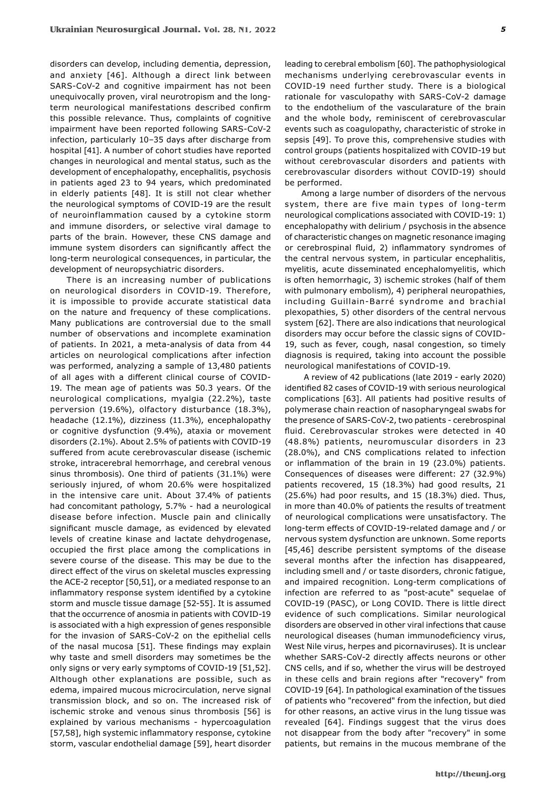disorders can develop, including dementia, depression, and anxiety [46]. Although a direct link between SARS-CoV-2 and cognitive impairment has not been unequivocally proven, viral neurotropism and the longterm neurological manifestations described confirm this possible relevance. Thus, complaints of cognitive impairment have been reported following SARS-CoV-2 infection, particularly 10–35 days after discharge from hospital [41]. A number of cohort studies have reported changes in neurological and mental status, such as the development of encephalopathy, encephalitis, psychosis in patients aged 23 to 94 years, which predominated in elderly patients [48]. It is still not clear whether the neurological symptoms of COVID-19 are the result of neuroinflammation caused by a cytokine storm and immune disorders, or selective viral damage to parts of the brain. However, these CNS damage and immune system disorders can significantly affect the long-term neurological consequences, in particular, the development of neuropsychiatric disorders.

There is an increasing number of publications on neurological disorders in COVID-19. Therefore, it is impossible to provide accurate statistical data on the nature and frequency of these complications. Many publications are controversial due to the small number of observations and incomplete examination of patients. In 2021, a meta-analysis of data from 44 articles on neurological complications after infection was performed, analyzing a sample of 13,480 patients of all ages with a different clinical course of COVID-19. The mean age of patients was 50.3 years. Of the neurological complications, myalgia (22.2%), taste perversion (19.6%), olfactory disturbance (18.3%), headache (12.1%), dizziness (11.3%), encephalopathy or cognitive dysfunction (9.4%), ataxia or movement disorders (2.1%). About 2.5% of patients with COVID-19 suffered from acute cerebrovascular disease (ischemic stroke, intracerebral hemorrhage, and cerebral venous sinus thrombosis). One third of patients (31.1%) were seriously injured, of whom 20.6% were hospitalized in the intensive care unit. About 37.4% of patients had concomitant pathology, 5.7% - had a neurological disease before infection. Muscle pain and clinically significant muscle damage, as evidenced by elevated levels of creatine kinase and lactate dehydrogenase, occupied the first place among the complications in severe course of the disease. This may be due to the direct effect of the virus on skeletal muscles expressing the ACE-2 receptor [50,51], or a mediated response to an inflammatory response system identified by a cytokine storm and muscle tissue damage [52-55]. It is assumed that the occurrence of anosmia in patients with COVID-19 is associated with a high expression of genes responsible for the invasion of SARS-CoV-2 on the epithelial cells of the nasal mucosa [51]. These findings may explain why taste and smell disorders may sometimes be the only signs or very early symptoms of COVID-19 [51,52]. Although other explanations are possible, such as edema, impaired mucous microcirculation, nerve signal transmission block, and so on. The increased risk of ischemic stroke and venous sinus thrombosis [56] is explained by various mechanisms - hypercoagulation [57,58], high systemic inflammatory response, cytokine storm, vascular endothelial damage [59], heart disorder

leading to cerebral embolism [60]. The pathophysiological mechanisms underlying cerebrovascular events in COVID-19 need further study. There is a biological rationale for vasculopathy with SARS-CoV-2 damage to the endothelium of the vascularature of the brain and the whole body, reminiscent of cerebrovascular events such as coagulopathy, characteristic of stroke in sepsis [49]. To prove this, comprehensive studies with control groups (patients hospitalized with COVID-19 but without cerebrovascular disorders and patients with cerebrovascular disorders without COVID-19) should be performed.

Among a large number of disorders of the nervous system, there are five main types of long-term neurological complications associated with COVID-19: 1) encephalopathy with delirium / psychosis in the absence of characteristic changes on magnetic resonance imaging or cerebrospinal fluid, 2) inflammatory syndromes of the central nervous system, in particular encephalitis, myelitis, acute disseminated encephalomyelitis, which is often hemorrhagic, 3) ischemic strokes (half of them with pulmonary embolism), 4) peripheral neuropathies, including Guillain-Barré syndrome and brachial plexopathies, 5) other disorders of the central nervous system [62]. There are also indications that neurological disorders may occur before the classic signs of COVID-19, such as fever, cough, nasal congestion, so timely diagnosis is required, taking into account the possible neurological manifestations of COVID-19.

 A review of 42 publications (late 2019 - early 2020) identified 82 cases of COVID-19 with serious neurological complications [63]. All patients had positive results of polymerase chain reaction of nasopharyngeal swabs for the presence of SARS-CoV-2, two patients - cerebrospinal fluid. Cerebrovascular strokes were detected in 40 (48.8%) patients, neuromuscular disorders in 23 (28.0%), and CNS complications related to infection or inflammation of the brain in 19 (23.0%) patients. Сonsequences of diseases were different: 27 (32.9%) patients recovered, 15 (18.3%) had good results, 21 (25.6%) had poor results, and 15 (18.3%) died. Thus, in more than 40.0% of patients the results of treatment of neurological complications were unsatisfactory. The long-term effects of COVID-19-related damage and / or nervous system dysfunction are unknown. Some reports [45,46] describe persistent symptoms of the disease several months after the infection has disappeared, including smell and / or taste disorders, chronic fatigue, and impaired recognition. Long-term complications of infection are referred to as "post-acute" sequelae of COVID-19 (PASC), or Long COVID. There is little direct evidence of such complications. Similar neurological disorders are observed in other viral infections that cause neurological diseases (human immunodeficiency virus, West Nile virus, herpes and picornaviruses). It is unclear whether SARS-CoV-2 directly affects neurons or other CNS cells, and if so, whether the virus will be destroyed in these cells and brain regions after "recovery" from COVID-19 [64]. In pathological examination of the tissues of patients who "recovered" from the infection, but died for other reasons, an active virus in the lung tissue was revealed [64]. Findings suggest that the virus does not disappear from the body after "recovery" in some patients, but remains in the mucous membrane of the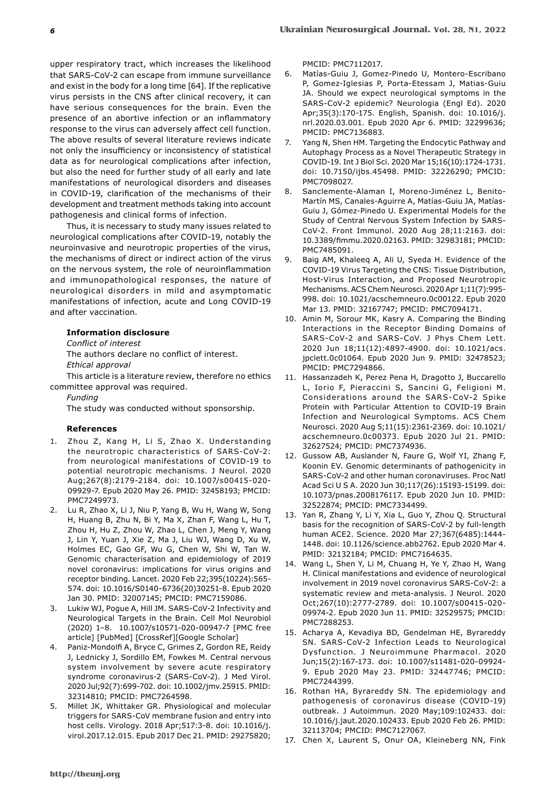upper respiratory tract, which increases the likelihood that SARS-CoV-2 can escape from immune surveillance and exist in the body for a long time [64]. If the replicative virus persists in the CNS after clinical recovery, it can have serious consequences for the brain. Even the presence of an abortive infection or an inflammatory response to the virus can adversely affect cell function. The above results of several literature reviews indicate not only the insufficiency or inconsistency of statistical data as for neurological complications after infection, but also the need for further study of all early and late manifestations of neurological disorders and diseases in COVID-19, clarification of the mechanisms of their development and treatment methods taking into account pathogenesis and clinical forms of infection.

Thus, it is necessary to study many issues related to neurological complications after COVID-19, notably the neuroinvasive and neurotropic properties of the virus, the mechanisms of direct or indirect action of the virus on the nervous system, the role of neuroinflammation and immunopathological responses, the nature of neurological disorders in mild and asymptomatic manifestations of infection, acute and Long COVID-19 and after vaccination.

## **Information disclosure**

*Conflict of interest*

The authors declare no conflict of interest. *Ethical approval*

This article is a literature review, therefore no ethics committee approval was required.

*Funding*

The study was conducted without sponsorship.

## **References**

- 1. Zhou Z, Kang H, Li S, Zhao X. Understanding the neurotropic characteristics of SARS-CoV-2: from neurological manifestations of COVID-19 to potential neurotropic mechanisms. J Neurol. 2020 Aug;267(8):2179-2184. doi: 10.1007/s00415-020- 09929-7. Epub 2020 May 26. PMID: 32458193; PMCID: PMC7249973.
- 2. Lu R, Zhao X, Li J, Niu P, Yang B, Wu H, Wang W, Song H, Huang B, Zhu N, Bi Y, Ma X, Zhan F, Wang L, Hu T, Zhou H, Hu Z, Zhou W, Zhao L, Chen J, Meng Y, Wang J, Lin Y, Yuan J, Xie Z, Ma J, Liu WJ, Wang D, Xu W, Holmes EC, Gao GF, Wu G, Chen W, Shi W, Tan W. Genomic characterisation and epidemiology of 2019 novel coronavirus: implications for virus origins and receptor binding. Lancet. 2020 Feb 22;395(10224):565- 574. doi: 10.1016/S0140-6736(20)30251-8. Epub 2020 Jan 30. PMID: 32007145; PMCID: PMC7159086.
- 3. Lukiw WJ, Pogue A, Hill JM. SARS-CoV-2 Infectivity and Neurological Targets in the Brain. Cell Mol Neurobiol (2020) 1–8. 10.1007/s10571-020-00947-7 [PMC free article] [PubMed] [CrossRef][Google Scholar]
- 4. Paniz-Mondolfi A, Bryce C, Grimes Z, Gordon RE, Reidy J, Lednicky J, Sordillo EM, Fowkes M. Central nervous system involvement by severe acute respiratory syndrome coronavirus-2 (SARS-CoV-2). J Med Virol. 2020 Jul;92(7):699-702. doi: 10.1002/jmv.25915. PMID: 32314810; PMCID: PMC7264598.
- 5. Millet JK, Whittaker GR. Physiological and molecular triggers for SARS-CoV membrane fusion and entry into host cells. Virology. 2018 Apr;517:3-8. doi: 10.1016/j. virol.2017.12.015. Epub 2017 Dec 21. PMID: 29275820;

PMCID: PMC7112017.

- 6. Matías-Guiu J, Gomez-Pinedo U, Montero-Escribano P, Gomez-Iglesias P, Porta-Etessam J, Matias-Guiu JA. Should we expect neurological symptoms in the SARS-CoV-2 epidemic? Neurologia (Engl Ed). 2020 Apr;35(3):170-175. English, Spanish. doi: 10.1016/j. nrl.2020.03.001. Epub 2020 Apr 6. PMID: 32299636; PMCID: PMC7136883.
- 7. Yang N, Shen HM. Targeting the Endocytic Pathway and Autophagy Process as a Novel Therapeutic Strategy in COVID-19. Int J Biol Sci. 2020 Mar 15;16(10):1724-1731. doi: 10.7150/ijbs.45498. PMID: 32226290; PMCID: PMC7098027.
- 8. Sanclemente-Alaman I, Moreno-Jiménez L, Benito-Martín MS, Canales-Aguirre A, Matías-Guiu JA, Matías-Guiu J, Gómez-Pinedo U. Experimental Models for the Study of Central Nervous System Infection by SARS-CoV-2. Front Immunol. 2020 Aug 28;11:2163. doi: 10.3389/fimmu.2020.02163. PMID: 32983181; PMCID: PMC7485091.
- 9. Baig AM, Khaleeq A, Ali U, Syeda H. Evidence of the COVID-19 Virus Targeting the CNS: Tissue Distribution, Host-Virus Interaction, and Proposed Neurotropic Mechanisms. ACS Chem Neurosci. 2020 Apr 1;11(7):995- 998. doi: 10.1021/acschemneuro.0c00122. Epub 2020 Mar 13. PMID: 32167747; PMCID: PMC7094171.
- 10. Amin M, Sorour MK, Kasry A. Comparing the Binding Interactions in the Receptor Binding Domains of SARS-CoV-2 and SARS-CoV. J Phys Chem Lett. 2020 Jun 18;11(12):4897-4900. doi: 10.1021/acs. jpclett.0c01064. Epub 2020 Jun 9. PMID: 32478523; PMCID: PMC7294866.
- 11. Hassanzadeh K, Perez Pena H, Dragotto J, Buccarello L, Iorio F, Pieraccini S, Sancini G, Feligioni M. Considerations around the SARS-CoV-2 Spike Protein with Particular Attention to COVID-19 Brain Infection and Neurological Symptoms. ACS Chem Neurosci. 2020 Aug 5;11(15):2361-2369. doi: 10.1021/ acschemneuro.0c00373. Epub 2020 Jul 21. PMID: 32627524; PMCID: PMC7374936.
- 12. Gussow AB, Auslander N, Faure G, Wolf YI, Zhang F, Koonin EV. Genomic determinants of pathogenicity in SARS-CoV-2 and other human coronaviruses. Proc Natl Acad Sci U S A. 2020 Jun 30;117(26):15193-15199. doi: 10.1073/pnas.2008176117. Epub 2020 Jun 10. PMID: 32522874; PMCID: PMC7334499.
- 13. Yan R, Zhang Y, Li Y, Xia L, Guo Y, Zhou Q. Structural basis for the recognition of SARS-CoV-2 by full-length human ACE2. Science. 2020 Mar 27;367(6485):1444- 1448. doi: 10.1126/science.abb2762. Epub 2020 Mar 4. PMID: 32132184; PMCID: PMC7164635.
- 14. Wang L, Shen Y, Li M, Chuang H, Ye Y, Zhao H, Wang H. Clinical manifestations and evidence of neurological involvement in 2019 novel coronavirus SARS-CoV-2: a systematic review and meta-analysis. J Neurol. 2020 Oct;267(10):2777-2789. doi: 10.1007/s00415-020- 09974-2. Epub 2020 Jun 11. PMID: 32529575; PMCID: PMC7288253.
- 15. Acharya A, Kevadiya BD, Gendelman HE, Byrareddy SN. SARS-CoV-2 Infection Leads to Neurological Dysfunction. J Neuroimmune Pharmacol. 2020 Jun;15(2):167-173. doi: 10.1007/s11481-020-09924- 9. Epub 2020 May 23. PMID: 32447746; PMCID: PMC7244399.
- 16. Rothan HA, Byrareddy SN. The epidemiology and pathogenesis of coronavirus disease (COVID-19) outbreak. J Autoimmun. 2020 May;109:102433. doi: 10.1016/j.jaut.2020.102433. Epub 2020 Feb 26. PMID: 32113704; PMCID: PMC7127067.
- 17. Chen X, Laurent S, Onur OA, Kleineberg NN, Fink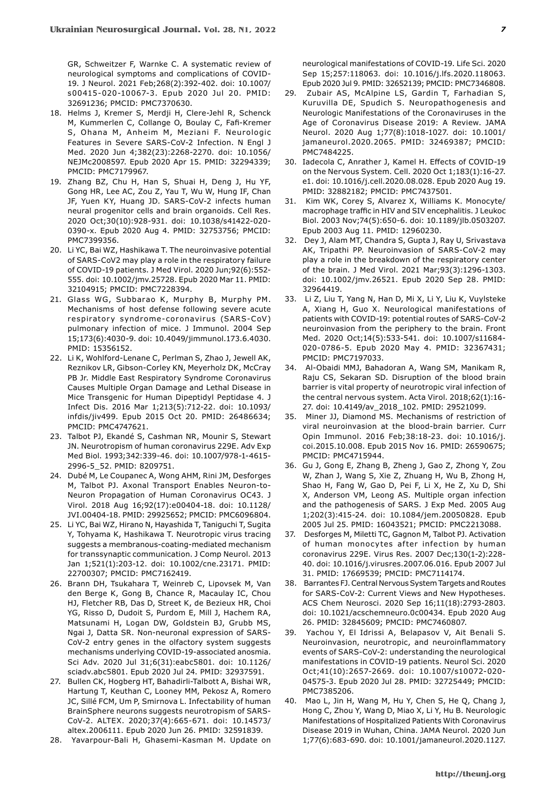GR, Schweitzer F, Warnke C. A systematic review of neurological symptoms and complications of COVID-19. J Neurol. 2021 Feb;268(2):392-402. doi: 10.1007/ s00415-020-10067-3. Epub 2020 Jul 20. PMID: 32691236; PMCID: PMC7370630.

- 18. Helms J, Kremer S, Merdji H, Clere-Jehl R, Schenck M, Kummerlen C, Collange O, Boulay C, Fafi-Kremer S, Ohana M, Anheim M, Meziani F. Neurologic Features in Severe SARS-CoV-2 Infection. N Engl J Med. 2020 Jun 4;382(23):2268-2270. doi: 10.1056/ NEJMc2008597. Epub 2020 Apr 15. PMID: 32294339; PMCID: PMC7179967.
- 19. Zhang BZ, Chu H, Han S, Shuai H, Deng J, Hu YF, Gong HR, Lee AC, Zou Z, Yau T, Wu W, Hung IF, Chan JF, Yuen KY, Huang JD. SARS-CoV-2 infects human neural progenitor cells and brain organoids. Cell Res. 2020 Oct;30(10):928-931. doi: 10.1038/s41422-020- 0390-x. Epub 2020 Aug 4. PMID: 32753756; PMCID: PMC7399356.
- 20. Li YC, Bai WZ, Hashikawa T. The neuroinvasive potential of SARS-CoV2 may play a role in the respiratory failure of COVID-19 patients. J Med Virol. 2020 Jun;92(6):552- 555. doi: 10.1002/jmv.25728. Epub 2020 Mar 11. PMID: 32104915; PMCID: PMC7228394.
- 21. Glass WG, Subbarao K, Murphy B, Murphy PM. Mechanisms of host defense following severe acute respiratory syndrome-coronavirus (SARS-CoV) pulmonary infection of mice. J Immunol. 2004 Sep 15;173(6):4030-9. doi: 10.4049/jimmunol.173.6.4030. PMID: 15356152.
- 22. Li K, Wohlford-Lenane C, Perlman S, Zhao J, Jewell AK, Reznikov LR, Gibson-Corley KN, Meyerholz DK, McCray PB Jr. Middle East Respiratory Syndrome Coronavirus Causes Multiple Organ Damage and Lethal Disease in Mice Transgenic for Human Dipeptidyl Peptidase 4. J Infect Dis. 2016 Mar 1;213(5):712-22. doi: 10.1093/ infdis/jiv499. Epub 2015 Oct 20. PMID: 26486634; PMCID: PMC4747621.
- 23. Talbot PJ, Ekandé S, Cashman NR, Mounir S, Stewart JN. Neurotropism of human coronavirus 229E. Adv Exp Med Biol. 1993;342:339-46. doi: 10.1007/978-1-4615- 2996-5\_52. PMID: 8209751.
- 24. Dubé M, Le Coupanec A, Wong AHM, Rini JM, Desforges M, Talbot PJ. Axonal Transport Enables Neuron-to-Neuron Propagation of Human Coronavirus OC43. J Virol. 2018 Aug 16;92(17):e00404-18. doi: 10.1128/ JVI.00404-18. PMID: 29925652; PMCID: PMC6096804.
- 25. Li YC, Bai WZ, Hirano N, Hayashida T, Taniguchi T, Sugita Y, Tohyama K, Hashikawa T. Neurotropic virus tracing suggests a membranous-coating-mediated mechanism for transsynaptic communication. J Comp Neurol. 2013 Jan 1;521(1):203-12. doi: 10.1002/cne.23171. PMID: 22700307; PMCID: PMC7162419.
- 26. Brann DH, Tsukahara T, Weinreb C, Lipovsek M, Van den Berge K, Gong B, Chance R, Macaulay IC, Chou HJ, Fletcher RB, Das D, Street K, de Bezieux HR, Choi YG, Risso D, Dudoit S, Purdom E, Mill J, Hachem RA, Matsunami H, Logan DW, Goldstein BJ, Grubb MS, Ngai J, Datta SR. Non-neuronal expression of SARS-CoV-2 entry genes in the olfactory system suggests mechanisms underlying COVID-19-associated anosmia. Sci Adv. 2020 Jul 31;6(31):eabc5801. doi: 10.1126/ sciadv.abc5801. Epub 2020 Jul 24. PMID: 32937591.
- 27. Bullen CK, Hogberg HT, Bahadirli-Talbott A, Bishai WR, Hartung T, Keuthan C, Looney MM, Pekosz A, Romero JC, Sillé FCM, Um P, Smirnova L. Infectability of human BrainSphere neurons suggests neurotropism of SARS-CoV-2. ALTEX. 2020;37(4):665-671. doi: 10.14573/ altex.2006111. Epub 2020 Jun 26. PMID: 32591839.
- 28. Yavarpour-Bali H, Ghasemi-Kasman M. Update on

neurological manifestations of COVID-19. Life Sci. 2020 Sep 15;257:118063. doi: 10.1016/j.lfs.2020.118063. Epub 2020 Jul 9. PMID: 32652139; PMCID: PMC7346808.

- 29. Zubair AS, McAlpine LS, Gardin T, Farhadian S, Kuruvilla DE, Spudich S. Neuropathogenesis and Neurologic Manifestations of the Coronaviruses in the Age of Coronavirus Disease 2019: A Review. JAMA Neurol. 2020 Aug 1;77(8):1018-1027. doi: 10.1001/ jamaneurol.2020.2065. PMID: 32469387; PMCID: PMC7484225.
- 30. Iadecola C, Anrather J, Kamel H. Effects of COVID-19 on the Nervous System. Cell. 2020 Oct 1;183(1):16-27. e1. doi: 10.1016/j.cell.2020.08.028. Epub 2020 Aug 19. PMID: 32882182; PMCID: PMC7437501.
- 31. Kim WK, Corey S, Alvarez X, Williams K. Monocyte/ macrophage traffic in HIV and SIV encephalitis. J Leukoc Biol. 2003 Nov;74(5):650-6. doi: 10.1189/jlb.0503207. Epub 2003 Aug 11. PMID: 12960230.
- 32. Dey J, Alam MT, Chandra S, Gupta J, Ray U, Srivastava AK, Tripathi PP. Neuroinvasion of SARS-CoV-2 may play a role in the breakdown of the respiratory center of the brain. J Med Virol. 2021 Mar;93(3):1296-1303. doi: 10.1002/jmv.26521. Epub 2020 Sep 28. PMID: 32964419.
- 33. Li Z, Liu T, Yang N, Han D, Mi X, Li Y, Liu K, Vuylsteke A, Xiang H, Guo X. Neurological manifestations of patients with COVID-19: potential routes of SARS-CoV-2 neuroinvasion from the periphery to the brain. Front Med. 2020 Oct;14(5):533-541. doi: 10.1007/s11684- 020-0786-5. Epub 2020 May 4. PMID: 32367431; PMCID: PMC7197033.
- 34. Al-Obaidi MMJ, Bahadoran A, Wang SM, Manikam R, Raju CS, Sekaran SD. Disruption of the blood brain barrier is vital property of neurotropic viral infection of the central nervous system. Acta Virol. 2018;62(1):16- 27. doi: 10.4149/av\_2018\_102. PMID: 29521099.
- 35. Miner JJ, Diamond MS. Mechanisms of restriction of viral neuroinvasion at the blood-brain barrier. Curr Opin Immunol. 2016 Feb;38:18-23. doi: 10.1016/j. coi.2015.10.008. Epub 2015 Nov 16. PMID: 26590675; PMCID: PMC4715944.
- 36. Gu J, Gong E, Zhang B, Zheng J, Gao Z, Zhong Y, Zou W, Zhan J, Wang S, Xie Z, Zhuang H, Wu B, Zhong H, Shao H, Fang W, Gao D, Pei F, Li X, He Z, Xu D, Shi X, Anderson VM, Leong AS. Multiple organ infection and the pathogenesis of SARS. J Exp Med. 2005 Aug 1;202(3):415-24. doi: 10.1084/jem.20050828. Epub 2005 Jul 25. PMID: 16043521; PMCID: PMC2213088.
- 37. Desforges M, Miletti TC, Gagnon M, Talbot PJ. Activation of human monocytes after infection by human coronavirus 229E. Virus Res. 2007 Dec;130(1-2):228- 40. doi: 10.1016/j.virusres.2007.06.016. Epub 2007 Jul 31. PMID: 17669539; PMCID: PMC7114174.
- 38. Barrantes FJ. Central Nervous System Targets and Routes for SARS-CoV-2: Current Views and New Hypotheses. ACS Chem Neurosci. 2020 Sep 16;11(18):2793-2803. doi: 10.1021/acschemneuro.0c00434. Epub 2020 Aug 26. PMID: 32845609; PMCID: PMC7460807.
- 39. Yachou Y, El Idrissi A, Belapasov V, Ait Benali S. Neuroinvasion, neurotropic, and neuroinflammatory events of SARS-CoV-2: understanding the neurological manifestations in COVID-19 patients. Neurol Sci. 2020 Oct;41(10):2657-2669. doi: 10.1007/s10072-020- 04575-3. Epub 2020 Jul 28. PMID: 32725449; PMCID: PMC7385206.
- 40. Mao L, Jin H, Wang M, Hu Y, Chen S, He Q, Chang J, Hong C, Zhou Y, Wang D, Miao X, Li Y, Hu B. Neurologic Manifestations of Hospitalized Patients With Coronavirus Disease 2019 in Wuhan, China. JAMA Neurol. 2020 Jun 1;77(6):683-690. doi: 10.1001/jamaneurol.2020.1127.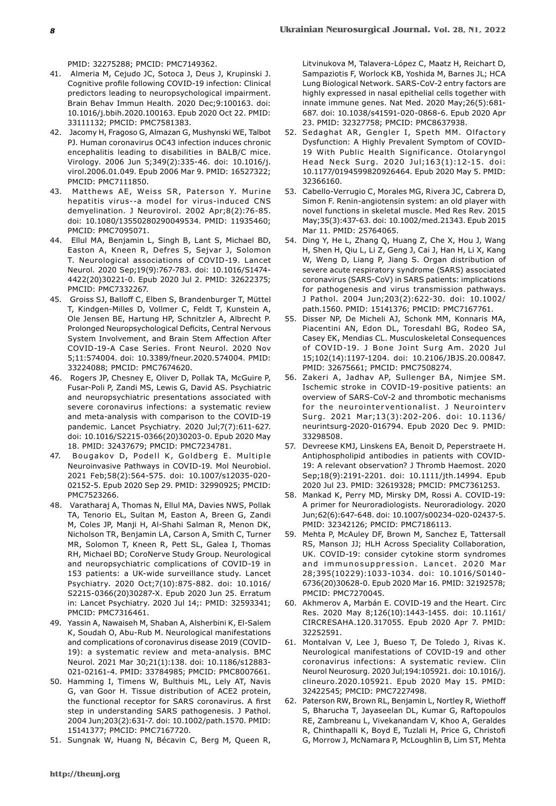PMID: 32275288; PMCID: PMC7149362.

- 41. Almeria M, Cejudo JC, Sotoca J, Deus J, Krupinski J. Cognitive profile following COVID-19 infection: Clinical predictors leading to neuropsychological impairment. Brain Behav Immun Health. 2020 Dec;9:100163. doi: 10.1016/j.bbih.2020.100163. Epub 2020 Oct 22. PMID: 33111132; PMCID: PMC7581383.
- 42. Jacomy H, Fragoso G, Almazan G, Mushynski WE, Talbot PJ. Human coronavirus OC43 infection induces chronic encephalitis leading to disabilities in BALB/C mice. Virology. 2006 Jun 5;349(2):335-46. doi: 10.1016/j. virol.2006.01.049. Epub 2006 Mar 9. PMID: 16527322; PMCID: PMC7111850.
- 43. Matthews AE, Weiss SR, Paterson Y. Murine hepatitis virus--a model for virus-induced CNS demyelination. J Neurovirol. 2002 Apr;8(2):76-85. doi: 10.1080/13550280290049534. PMID: 11935460; PMCID: PMC7095071.
- 44. Ellul MA, Benjamin L, Singh B, Lant S, Michael BD, Easton A, Kneen R, Defres S, Sejvar J, Solomon T. Neurological associations of COVID-19. Lancet Neurol. 2020 Sep;19(9):767-783. doi: 10.1016/S1474- 4422(20)30221-0. Epub 2020 Jul 2. PMID: 32622375; PMCID: PMC7332267.
- 45. Groiss SJ, Balloff C, Elben S, Brandenburger T, Müttel T, Kindgen-Milles D, Vollmer C, Feldt T, Kunstein A, Ole Jensen BE, Hartung HP, Schnitzler A, Albrecht P. Prolonged Neuropsychological Deficits, Central Nervous System Involvement, and Brain Stem Affection After COVID-19-A Case Series. Front Neurol. 2020 Nov 5;11:574004. doi: 10.3389/fneur.2020.574004. PMID: 33224088; PMCID: PMC7674620.
- 46. Rogers JP, Chesney E, Oliver D, Pollak TA, McGuire P, Fusar-Poli P, Zandi MS, Lewis G, David AS. Psychiatric and neuropsychiatric presentations associated with severe coronavirus infections: a systematic review and meta-analysis with comparison to the COVID-19 pandemic. Lancet Psychiatry. 2020 Jul;7(7):611-627. doi: 10.1016/S2215-0366(20)30203-0. Epub 2020 May 18. PMID: 32437679; PMCID: PMC7234781.
- Bougakov D, Podell K, Goldberg E. Multiple Neuroinvasive Pathways in COVID-19. Mol Neurobiol. 2021 Feb;58(2):564-575. doi: 10.1007/s12035-020- 02152-5. Epub 2020 Sep 29. PMID: 32990925; PMCID: PMC7523266.
- 48. Varatharaj A, Thomas N, Ellul MA, Davies NWS, Pollak TA, Tenorio EL, Sultan M, Easton A, Breen G, Zandi M, Coles JP, Manji H, Al-Shahi Salman R, Menon DK, Nicholson TR, Benjamin LA, Carson A, Smith C, Turner MR, Solomon T, Kneen R, Pett SL, Galea I, Thomas RH, Michael BD; CoroNerve Study Group. Neurological and neuropsychiatric complications of COVID-19 in 153 patients: a UK-wide surveillance study. Lancet Psychiatry. 2020 Oct;7(10):875-882. doi: 10.1016/ S2215-0366(20)30287-X. Epub 2020 Jun 25. Erratum in: Lancet Psychiatry. 2020 Jul 14;: PMID: 32593341; PMCID: PMC7316461.
- 49. Yassin A, Nawaiseh M, Shaban A, Alsherbini K, El-Salem K, Soudah O, Abu-Rub M. Neurological manifestations and complications of coronavirus disease 2019 (COVID-19): a systematic review and meta-analysis. BMC Neurol. 2021 Mar 30;21(1):138. doi: 10.1186/s12883- 021-02161-4. PMID: 33784985; PMCID: PMC8007661.
- 50. Hamming I, Timens W, Bulthuis ML, Lely AT, Navis G, van Goor H. Tissue distribution of ACE2 protein, the functional receptor for SARS coronavirus. A first step in understanding SARS pathogenesis. J Pathol. 2004 Jun;203(2):631-7. doi: 10.1002/path.1570. PMID: 15141377; PMCID: PMC7167720.
- 51. Sungnak W, Huang N, Bécavin C, Berg M, Queen R,

Litvinukova M, Talavera-López C, Maatz H, Reichart D, Sampaziotis F, Worlock KB, Yoshida M, Barnes JL; HCA Lung Biological Network. SARS-CoV-2 entry factors are highly expressed in nasal epithelial cells together with innate immune genes. Nat Med. 2020 May;26(5):681- 687. doi: 10.1038/s41591-020-0868-6. Epub 2020 Apr 23. PMID: 32327758; PMCID: PMC8637938.

- 52. Sedaghat AR, Gengler I, Speth MM. Olfactory Dysfunction: A Highly Prevalent Symptom of COVID-19 With Public Health Significance. Otolaryngol Head Neck Surg. 2020 Jul;163(1):12-15. doi: 10.1177/0194599820926464. Epub 2020 May 5. PMID: 32366160.
- 53. Cabello-Verrugio C, Morales MG, Rivera JC, Cabrera D, Simon F. Renin-angiotensin system: an old player with novel functions in skeletal muscle. Med Res Rev. 2015 May;35(3):437-63. doi: 10.1002/med.21343. Epub 2015 Mar 11. PMID: 25764065.
- 54. Ding Y, He L, Zhang Q, Huang Z, Che X, Hou J, Wang H, Shen H, Qiu L, Li Z, Geng J, Cai J, Han H, Li X, Kang W, Weng D, Liang P, Jiang S. Organ distribution of severe acute respiratory syndrome (SARS) associated coronavirus (SARS-CoV) in SARS patients: implications for pathogenesis and virus transmission pathways. J Pathol. 2004 Jun;203(2):622-30. doi: 10.1002/ path.1560. PMID: 15141376; PMCID: PMC7167761.
- 55. Disser NP, De Micheli AJ, Schonk MM, Konnaris MA, Piacentini AN, Edon DL, Toresdahl BG, Rodeo SA, Casey EK, Mendias CL. Musculoskeletal Consequences of COVID-19. J Bone Joint Surg Am. 2020 Jul 15;102(14):1197-1204. doi: 10.2106/JBJS.20.00847. PMID: 32675661; PMCID: PMC7508274.
- 56. Zakeri A, Jadhav AP, Sullenger BA, Nimjee SM. Ischemic stroke in COVID-19-positive patients: an overview of SARS-CoV-2 and thrombotic mechanisms for the neurointerventionalist. J Neurointerv Surg. 2021 Mar;13(3):202-206. doi: 10.1136/ neurintsurg-2020-016794. Epub 2020 Dec 9. PMID: 33298508.
- 57. Devreese KMJ, Linskens EA, Benoit D, Peperstraete H. Antiphospholipid antibodies in patients with COVID-19: A relevant observation? J Thromb Haemost. 2020 Sep;18(9):2191-2201. doi: 10.1111/jth.14994. Epub 2020 Jul 23. PMID: 32619328; PMCID: PMC7361253.
- 58. Mankad K, Perry MD, Mirsky DM, Rossi A. COVID-19: A primer for Neuroradiologists. Neuroradiology. 2020 Jun;62(6):647-648. doi: 10.1007/s00234-020-02437-5. PMID: 32342126; PMCID: PMC7186113.
- 59. Mehta P, McAuley DF, Brown M, Sanchez E, Tattersall RS, Manson JJ; HLH Across Speciality Collaboration, UK. COVID-19: consider cytokine storm syndromes and immunosuppression. Lancet. 2020 Mar 28;395(10229):1033-1034. doi: 10.1016/S0140- 6736(20)30628-0. Epub 2020 Mar 16. PMID: 32192578; PMCID: PMC7270045.
- 60. Akhmerov A, Marbán E. COVID-19 and the Heart. Circ Res. 2020 May 8;126(10):1443-1455. doi: 10.1161/ CIRCRESAHA.120.317055. Epub 2020 Apr 7. PMID: 32252591.
- 61. Montalvan V, Lee J, Bueso T, De Toledo J, Rivas K. Neurological manifestations of COVID-19 and other coronavirus infections: A systematic review. Clin Neurol Neurosurg. 2020 Jul;194:105921. doi: 10.1016/j. clineuro.2020.105921. Epub 2020 May 15. PMID: 32422545; PMCID: PMC7227498.
- 62. Paterson RW, Brown RL, Benjamin L, Nortley R, Wiethoff S, Bharucha T, Jayaseelan DL, Kumar G, Raftopoulos RE, Zambreanu L, Vivekanandam V, Khoo A, Geraldes R, Chinthapalli K, Boyd E, Tuzlali H, Price G, Christofi G, Morrow J, McNamara P, McLoughlin B, Lim ST, Mehta